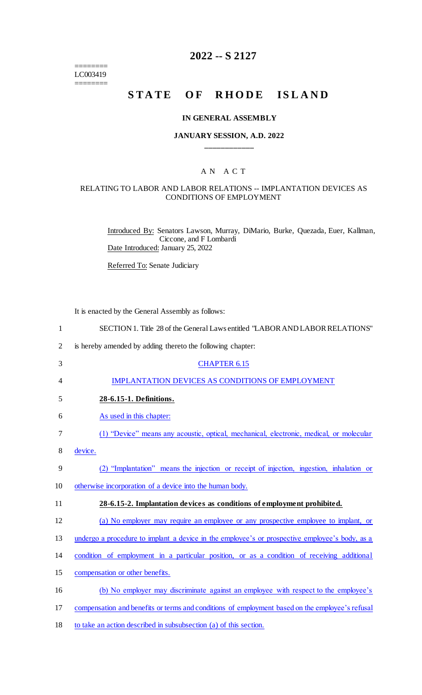======== LC003419 ========

## **2022 -- S 2127**

# **STATE OF RHODE ISLAND**

#### **IN GENERAL ASSEMBLY**

### **JANUARY SESSION, A.D. 2022 \_\_\_\_\_\_\_\_\_\_\_\_**

## A N A C T

#### RELATING TO LABOR AND LABOR RELATIONS -- IMPLANTATION DEVICES AS CONDITIONS OF EMPLOYMENT

Introduced By: Senators Lawson, Murray, DiMario, Burke, Quezada, Euer, Kallman, Ciccone, and F Lombardi Date Introduced: January 25, 2022

Referred To: Senate Judiciary

It is enacted by the General Assembly as follows:

| $\mathbf{1}$   | SECTION 1. Title 28 of the General Laws entitled "LABOR AND LABOR RELATIONS"                    |
|----------------|-------------------------------------------------------------------------------------------------|
| $\overline{2}$ | is hereby amended by adding thereto the following chapter:                                      |
| 3              | <b>CHAPTER 6.15</b>                                                                             |
| 4              | <b>IMPLANTATION DEVICES AS CONDITIONS OF EMPLOYMENT</b>                                         |
| 5              | 28-6.15-1. Definitions.                                                                         |
| 6              | As used in this chapter:                                                                        |
| 7              | (1) "Device" means any acoustic, optical, mechanical, electronic, medical, or molecular         |
| 8              | device.                                                                                         |
| 9              | (2) "Implantation" means the injection or receipt of injection, ingestion, inhalation or        |
| 10             | otherwise incorporation of a device into the human body.                                        |
| 11             | 28-6.15-2. Implantation devices as conditions of employment prohibited.                         |
| 12             | (a) No employer may require an employee or any prospective employee to implant, or              |
| 13             | undergo a procedure to implant a device in the employee's or prospective employee's body, as a  |
| 14             | condition of employment in a particular position, or as a condition of receiving additional     |
| 15             | compensation or other benefits.                                                                 |
| 16             | (b) No employer may discriminate against an employee with respect to the employee's             |
| 17             | compensation and benefits or terms and conditions of employment based on the employee's refusal |

18 to take an action described in subsubsection (a) of this section.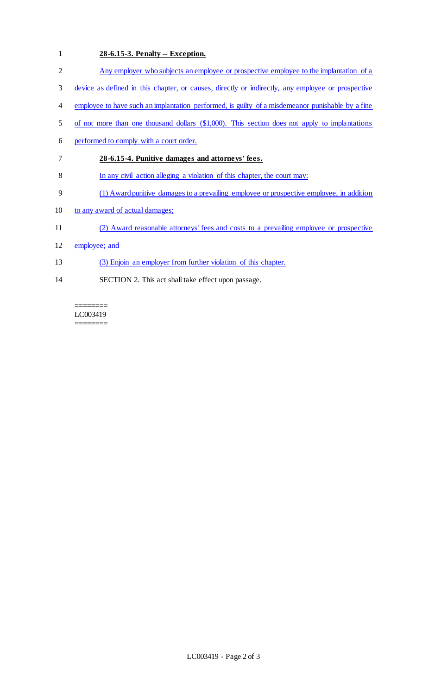## 1 **28-6.15-3. Penalty -- Exception.**

- 2 Any employer who subjects an employee or prospective employee to the implantation of a
- 3 device as defined in this chapter, or causes, directly or indirectly, any employee or prospective
- 4 employee to have such an implantation performed, is guilty of a misdemeanor punishable by a fine
- 5 of not more than one thousand dollars (\$1,000). This section does not apply to implantations
- 6 performed to comply with a court order.
- 7 **28-6.15-4. Punitive damages and attorneys' fees.**
- 8 In any civil action alleging a violation of this chapter, the court may:
- 9 (1) Award punitive damages to a prevailing employee or prospective employee, in addition
- 10 to any award of actual damages;
- 11 (2) Award reasonable attorneys' fees and costs to a prevailing employee or prospective
- 12 employee; and
- 13 (3) Enjoin an employer from further violation of this chapter.
- 14 SECTION 2. This act shall take effect upon passage.

======== LC003419 ========